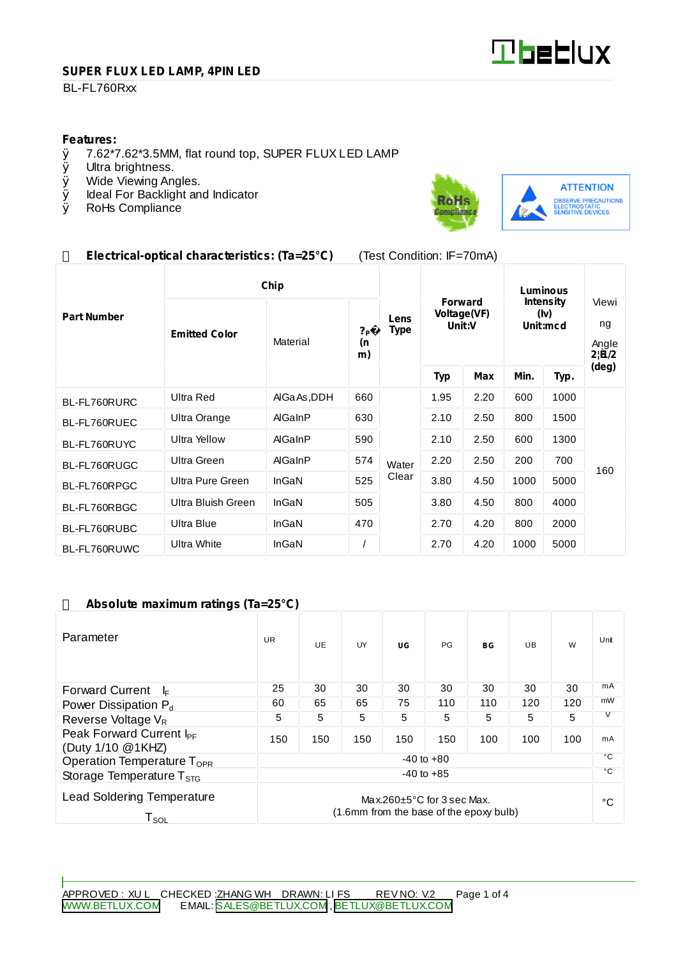

#### **SUPER FLUX LED LAMP, 4PIN LED**

#### BL-FL760Rxx

# **Features:**<br>0 7.62\*7

- $\emptyset$  7.62\*7.62\*3.5MM, flat round top, SUPER FLUX LED LAMP  $\emptyset$  Ultra brightness.
- Ø Ultra brightness.<br>Ø Wide Viewing An
- Wide Viewing Angles.
- Ø Ideal For Backlight and Indicator<br>Ø RoHs Compliance
- RoHs Compliance



## **Electrical-optical characteristics: (Ta=25°C)** (Test Condition: IF=70mA)

|                    | Chip                 |                |                            |                     | Luminous                                |      |                                      |      |                               |
|--------------------|----------------------|----------------|----------------------------|---------------------|-----------------------------------------|------|--------------------------------------|------|-------------------------------|
| <b>Part Number</b> | <b>Emitted Color</b> | Material       | ? <sub>P</sub><br>(n<br>m) | Lens<br><b>Type</b> | <b>Forward</b><br>Voltage(VF)<br>Unit:V |      | <b>Intensity</b><br>(Iv)<br>Unit:mcd |      | Viewi<br>ng<br>Angle<br>2 B/2 |
|                    |                      |                |                            |                     | <b>Typ</b>                              | Max  | Min.                                 | Typ. | (deg)                         |
| BL-FL760RURC       | Ultra Red            | AIGa As, DDH   | 660                        |                     | 1.95                                    | 2.20 | 600                                  | 1000 | 160                           |
| BL-FL760RUEC       | Ultra Orange         | AlGaInP        | 630                        |                     | 2.10                                    | 2.50 | 800                                  | 1500 |                               |
| BL-FL760RUYC       | <b>Ultra Yellow</b>  | AlGaInP        | 590                        |                     | 2.10                                    | 2.50 | 600                                  | 1300 |                               |
| BL-FL760RUGC       | Ultra Green          | <b>AlGaInP</b> | 574                        | Water               | 2.20                                    | 2.50 | 200                                  | 700  |                               |
| BL-FL760RPGC       | Ultra Pure Green     | InGaN          | 525                        | Clear               | 3.80                                    | 4.50 | 1000                                 | 5000 |                               |
| BL-FL760RBGC       | Ultra Bluish Green   | InGaN          | 505                        |                     | 3.80                                    | 4.50 | 800                                  | 4000 |                               |
| BL-FL760RUBC       | Ultra Blue           | InGaN          | 470                        |                     | 2.70                                    | 4.20 | 800                                  | 2000 |                               |
| BL-FL760RUWC       | Ultra White          | InGaN          |                            |                     | 2.70                                    | 4.20 | 1000                                 | 5000 |                               |

## **Absolute maximum ratings (Ta=25°C)**

| Parameter                                                                                                                               | <b>UR</b> | UE. | UY  | UG  | <b>PG</b> | BG           | UB. | W   | Unit |
|-----------------------------------------------------------------------------------------------------------------------------------------|-----------|-----|-----|-----|-----------|--------------|-----|-----|------|
| <b>Forward Current</b><br>I⊧                                                                                                            | 25        | 30  | 30  | 30  | 30        | 30           | 30  | 30  | mA   |
| Power Dissipation P <sub>d</sub>                                                                                                        | 60        | 65  | 65  | 75  | 110       | 110          | 120 | 120 | mW   |
| Reverse Voltage $V_R$                                                                                                                   | 5         | 5   | 5   | 5   | 5         | 5            | 5   | 5   | V    |
| Peak Forward Current I <sub>PF</sub><br>(Duty 1/10 @1KHZ)                                                                               | 150       | 150 | 150 | 150 | 150       | 100          | 100 | 100 | mA   |
| $-40$ to $+80$<br>Operation Temperature T <sub>OPR</sub>                                                                                |           |     |     |     |           | °C           |     |     |      |
| $-40$ to $+85$<br>Storage Temperature $T_{\rm src}$                                                                                     |           |     |     |     |           | $^{\circ}$ C |     |     |      |
| <b>Lead Soldering Temperature</b><br>Max.260 $\pm$ 5°C for 3 sec Max.<br>(1.6mm from the base of the epoxy bulb)<br>${\sf T}_{\sf SOL}$ |           |     |     |     |           |              | °C  |     |      |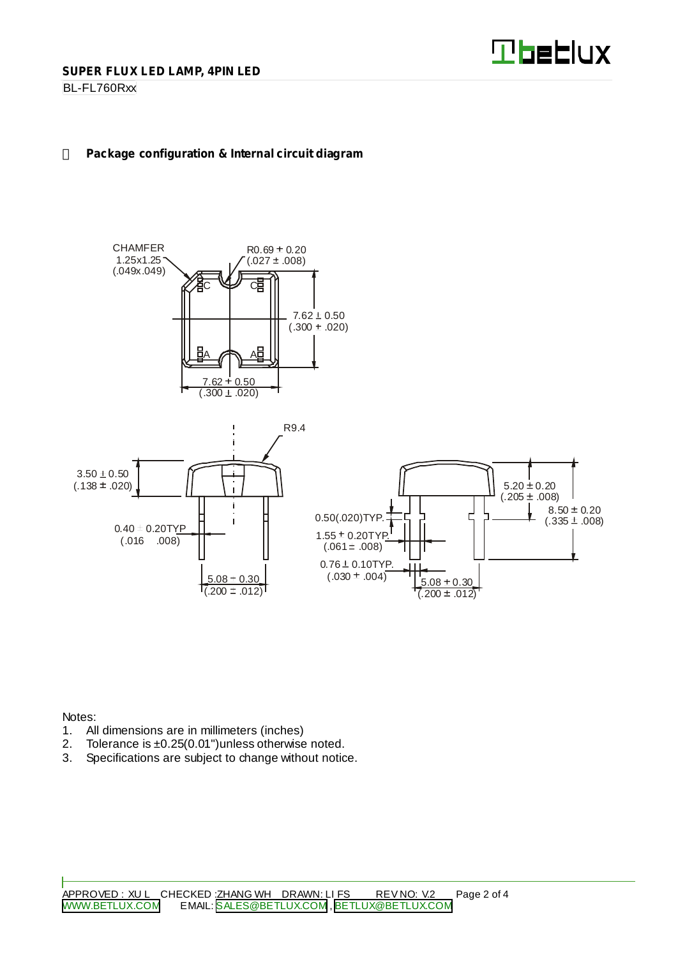

BL-FL760Rxx

## **Package configuration & Internal circuit diagram**





Notes:

- 1. All dimensions are in millimeters (inches)
- 2. Tolerance is  $\pm 0.25(0.01")$  unless otherwise noted.<br>3. Specifications are subject to change without notic
- Specifications are subject to change without notice.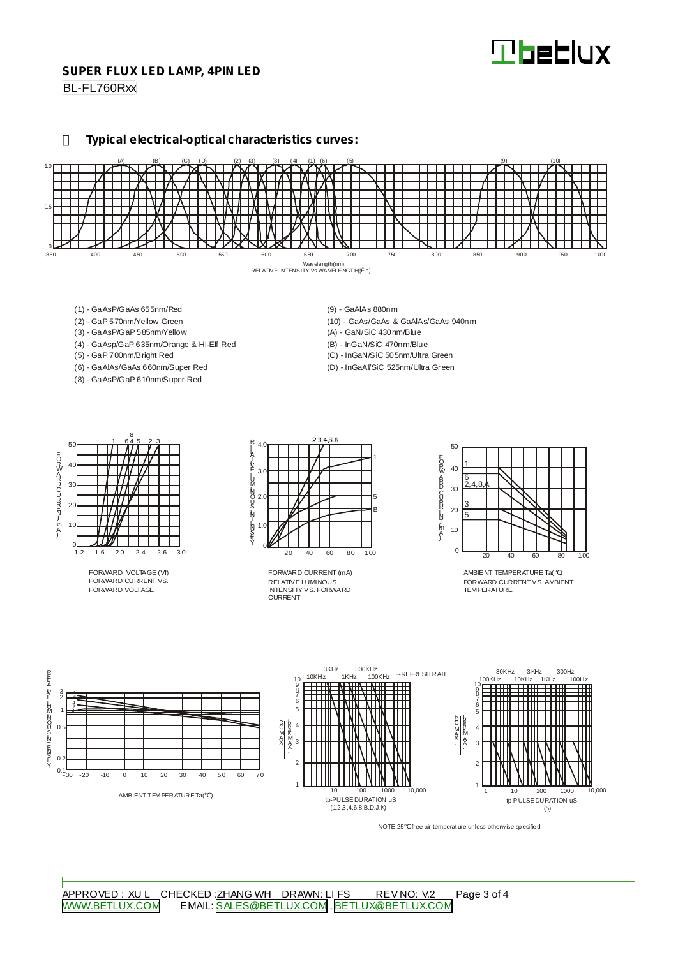#### **SUPER FLUX LED LAMP, 4PIN LED**

BL-FL760Rxx

**Typical electrical-optical characteristics curves:**



- (1) GaAsP/GaAs 655nm/Red
- (2) GaP 570nm/Yellow Green
- (3) GaAsP/GaP 585nm/Yellow
- (4) GaAsp/GaP 635nm/Orange & Hi-Eff Red
- (5) GaP 700nm/Bright Red
- (6) GaAlAs/GaAs 660nm/Super Red (8) - GaAsP/GaP 610nm/Super Red
- (9) GaAlAs 880nm
- (10) GaAs/GaAs & GaAlAs/GaAs 940nm
- (A) GaN/SiC 430nm/Blue
- (B) InGaN/SiC 470nm/Blue
- (C) InGaN/SiC 505nm/Ultra Green (D) - InGaAl/SiC 525nm/Ultra Green

50 40 30  $\mathcal{D}$ 10  $rac{0}{1.2}$ 1.2 1.6 2.0 2.4 2.6 3.0 1 645 23 8 EORWARD CURRINT [mA]

FORWARD VOLTAGE (Vf) FORWARD CURRENT VS. FORWARD VOLTAGE



RELATIVE LUMINOUS INTENSITY VS. FORWARD CURRENT FORWARD CURRENT (mA)



AMBIENT TEMPERATURE Ta( ) FORWARD CURRENTVS. AMBIENT TEMPERATURE



NOTE:25 free air temperature unless otherwise specified